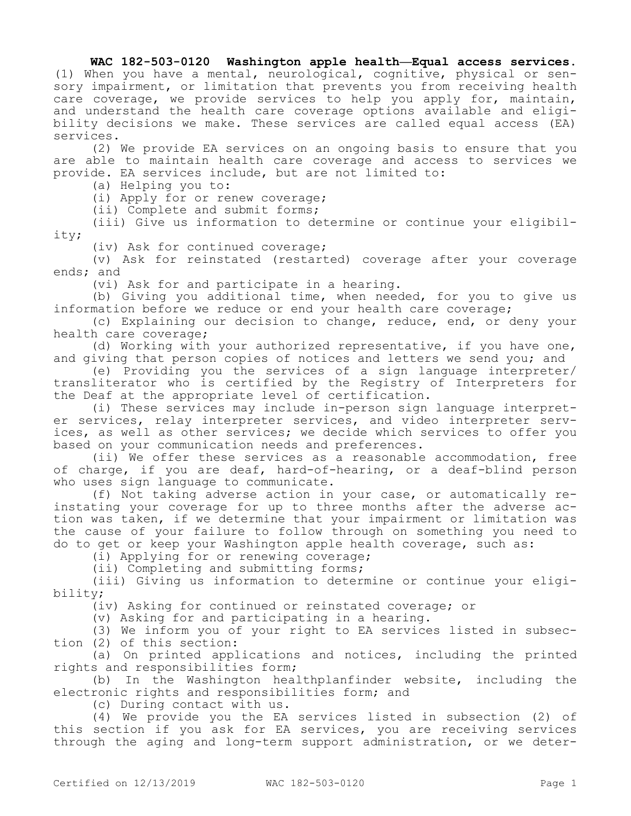## **WAC 182-503-0120 Washington apple health—Equal access services.**

(1) When you have a mental, neurological, cognitive, physical or sensory impairment, or limitation that prevents you from receiving health care coverage, we provide services to help you apply for, maintain, and understand the health care coverage options available and eligibility decisions we make. These services are called equal access (EA) services.

(2) We provide EA services on an ongoing basis to ensure that you are able to maintain health care coverage and access to services we provide. EA services include, but are not limited to:

(a) Helping you to:

(i) Apply for or renew coverage;

(ii) Complete and submit forms;

(iii) Give us information to determine or continue your eligibility;

(iv) Ask for continued coverage;

(v) Ask for reinstated (restarted) coverage after your coverage ends; and

(vi) Ask for and participate in a hearing.

(b) Giving you additional time, when needed, for you to give us information before we reduce or end your health care coverage;

(c) Explaining our decision to change, reduce, end, or deny your health care coverage;

(d) Working with your authorized representative, if you have one, and giving that person copies of notices and letters we send you; and

(e) Providing you the services of a sign language interpreter/ transliterator who is certified by the Registry of Interpreters for the Deaf at the appropriate level of certification.

(i) These services may include in-person sign language interpreter services, relay interpreter services, and video interpreter services, as well as other services; we decide which services to offer you based on your communication needs and preferences.

(ii) We offer these services as a reasonable accommodation, free of charge, if you are deaf, hard-of-hearing, or a deaf-blind person who uses sign language to communicate.

(f) Not taking adverse action in your case, or automatically reinstating your coverage for up to three months after the adverse action was taken, if we determine that your impairment or limitation was the cause of your failure to follow through on something you need to do to get or keep your Washington apple health coverage, such as:

(i) Applying for or renewing coverage;

(ii) Completing and submitting forms;

(iii) Giving us information to determine or continue your eligibility;

(iv) Asking for continued or reinstated coverage; or

(v) Asking for and participating in a hearing.

(3) We inform you of your right to EA services listed in subsection (2) of this section:

(a) On printed applications and notices, including the printed rights and responsibilities form;

(b) In the Washington healthplanfinder website, including the electronic rights and responsibilities form; and

(c) During contact with us.

(4) We provide you the EA services listed in subsection (2) of this section if you ask for EA services, you are receiving services through the aging and long-term support administration, or we deter